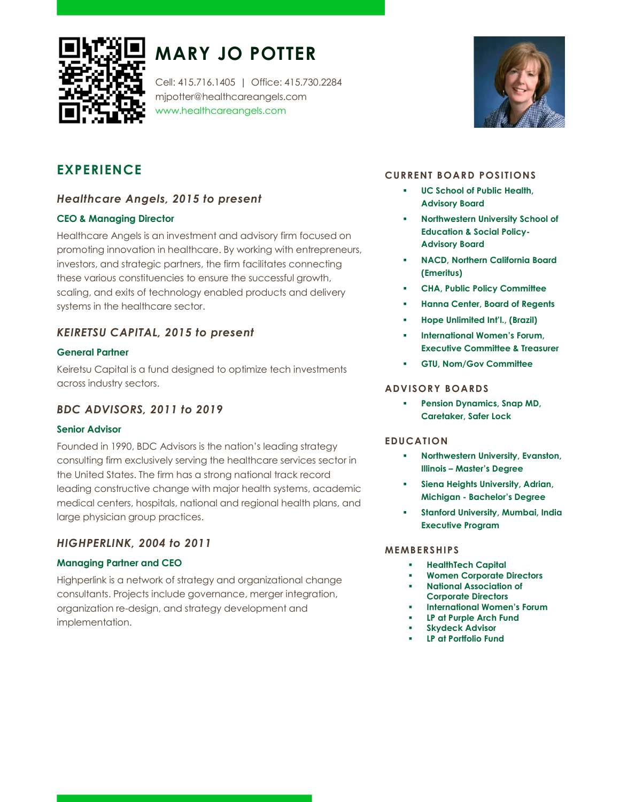

# MARY JO POTTER

Cell: 415.716.1405 | Office: 415.730.2284 mjpotter@healthcareangels.com www.healthcareangels.com



# EXPERIENCE

# Healthcare Angels, 2015 to present

## CEO & Managing Director

Healthcare Angels is an investment and advisory firm focused on promoting innovation in healthcare. By working with entrepreneurs, investors, and strategic partners, the firm facilitates connecting these various constituencies to ensure the successful growth, scaling, and exits of technology enabled products and delivery systems in the healthcare sector.

# KEIRETSU CAPITAL, 2015 to present

### General Partner

Keiretsu Capital is a fund designed to optimize tech investments across industry sectors.

# BDC ADVISORS, 2011 to 2019

## Senior Advisor

Founded in 1990, BDC Advisors is the nation's leading strategy consulting firm exclusively serving the healthcare services sector in the United States. The firm has a strong national track record leading constructive change with major health systems, academic medical centers, hospitals, national and regional health plans, and large physician group practices.

# HIGHPERLINK, 2004 to 2011

## Managing Partner and CEO

Highperlink is a network of strategy and organizational change consultants. Projects include governance, merger integration, organization re-design, and strategy development and implementation.

## CURRENT BOARD POSITIONS

- UC School of Public Health, Advisory Board
- Northwestern University School of Education & Social Policy-Advisory Board
- NACD, Northern California Board (Emeritus)
- CHA, Public Policy Committee
- Hanna Center, Board of Regents
- Hope Unlimited Int'l., (Brazil)
- International Women's Forum, Executive Committee & Treasurer
- GTU, Nom/Gov Committee

#### ADVISORY BOARDS

 Pension Dynamics, Snap MD, Caretaker, Safer Lock

#### EDUCATION

- **Northwestern University, Evanston,** Illinois – Master's Degree
- Siena Heights University, Adrian, Michigan - Bachelor's Degree
- Stanford University, Mumbai, India Executive Program

#### MEMBERSHIPS

- **HealthTech Capital**
- Women Corporate Directors
- National Association of Corporate Directors
- International Women's Forum
- LP at Purple Arch Fund
- Skydeck Advisor
- LP at Portfolio Fund